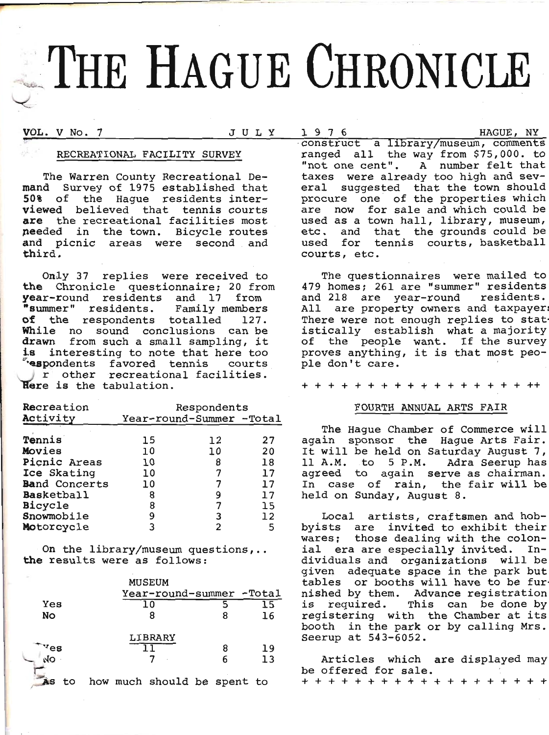# THE HAGUE CHRONICLE

VOL. V No. 7

 $1976$ JULY

HAGUE, NY

# RECREATIONAL FACILITY SURVEY

The Warren County Recreational De-<br>mand Survey of 1975 established that 50% of the Haque residents interviewed believed that tennis courts are the recreational facilities most needed in the town. Bicycle routes and picnic areas were second and third.

Only 37 replies were received to the Chronicle questionnaire; 20 from year-round residents and 17 from "summer" residents. Family members of the respondents totalled 127. While no sound conclusions can be drawn from such a small sampling, it is interesting to note that here too respondents favored tennis courts r other recreational facilities. Here is the tabulation.

| Recreation           | Respondents              |    |    |  |
|----------------------|--------------------------|----|----|--|
| Activity             | Year-round-Summer -Total |    |    |  |
|                      |                          |    |    |  |
| Tennis               | 15                       | 12 | 27 |  |
| Movies               | 10                       | 10 | 20 |  |
| Picnic Areas         | 10                       | 8  | 18 |  |
| Ice Skating          | 10                       |    | 17 |  |
| <b>Band Concerts</b> | 10                       |    | 17 |  |
| <b>Basketball</b>    | 8                        | 9  | 17 |  |
| Bicycle              | 8                        | 7  | 15 |  |
| Snowmobile           | 9                        | 3  | 12 |  |
| Motorcycle           | ٦                        | 2  | 5  |  |

On the library/museum questions,.. the results were as follows:

|          | MUSEUM                      |   |    |
|----------|-----------------------------|---|----|
|          | Year-round-summer -Total    |   |    |
| Yes      | ח ו                         |   | 15 |
| No       | 8                           | 8 | 16 |
|          | LIBRARY                     |   |    |
| $v_{es}$ |                             | 8 | 19 |
| NO       |                             | 6 | 13 |
| to<br>AS | how much should be spent to |   |    |

construct a library/museum, comments ranged all the way from \$75,000. to "not one cent". A number felt that taxes were already too high and several suggested that the town should procure one of the properties which are now for sale and which could be used as a town hall, library, museum, etc. and that the grounds could be used for tennis courts, basketball courts, etc.

The questionnaires were mailed to 479 homes; 261 are "summer" residents and 218 are year-round residents. All are property owners and taxpayer There were not enough replies to stat istically establish what a majority of the people want. If the survey proves anything, it is that most people don't care.

+ + + + + + + + + + + + + + + + + +

# FOURTH ANNUAL ARTS FAIR

The Haque Chamber of Commerce will again sponsor the Hague Arts Fair. It will be held on Saturday August 7, 11 A.M. to 5 P.M. Adra Seerup has agreed to again serve as chairman. In case of rain, the fair will be held on Sunday, August 8.

Local artists, craftsmen and hobbyists are invited to exhibit their wares; those dealing with the colonial era are especially invited. Individuals and organizations will be given adequate space in the park but tables or booths will have to be fur nished by them. Advance registration required. This can be done by is registering with the Chamber at its booth in the park or by calling Mrs. Seerup at 543-6052.

Articles which are displayed may be offered for sale. + + + + + + + + + + + + + +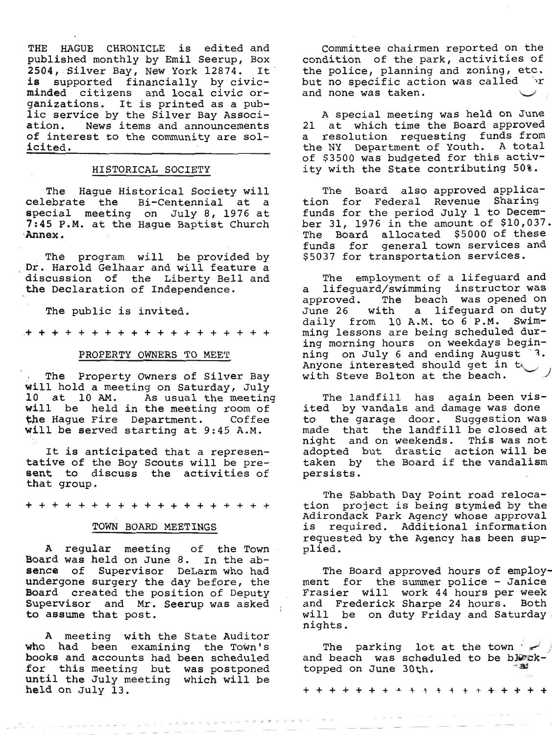THE HAGUE CHRONICLE is edited and<br>published monthly by Emil Seerup, Box<br>2504, Silver Bay, New York 12874. It<br>is supported financially by civic-<br>minded citizens and local civic or-<br>ganizations. It is printed as a pub-<br>lic s

## HISTORICAL SOCIETY

The Hague Historical Society will<br>celebrate the Bi-Centennial at a<br>special meeting on July 8, 1976 at 7:45 P.M. at the Hague Baptist Church Annex.

fhe program will be provided by<br>Dr. Harold Gelhaar and will feature a<br>discussion of the Liberty Bell and the Declaration of Independence.

The public is invited.

+++++++++++++++++++

## PROPERTY OWNERS TO MEET

I . The Property Owners of Silver Bay<br>will hold a meeting on Saturday, July<br>10 at 10 AM. As usual the meeting<br>will be held in the meeting room of<br>the Hague Fire Department. Coffee<br>will be served starting at 9:45 A.M.

It is anticipated that a represen-<br>tative of the Boy Scouts will be pre-<br>sent to discuss the activities of<br>that group.

+++++++++++++++++++

#### TOWN BOARD MEETINGS

A regular meeting of the Town<br>Board was held on June 8. In the ab-<br>sence of Supervisor DeLarm who had<br>undergone surgery the day before, the<br>Board created the position of Deputy<br>Supervisor and Mr. Seerup was asked<br>to assume

A meeting with the State Auditor<br>who had been examining the Town's<br>books and accounts had been scheduled<br>for this meeting but was postponed<br>until the July meeting which will be<br>held on July 13.

. . . . . . . . . . . . . . .

Committee chairmen reported on the condition of the park, activities of the police, planning and zoning, etc. but no specific action was called and none was taken.

A special meeting was held on June<br>21 at which time the Board approved<br>a resolution requesting funds from<br>the NY Department of Youth. A total<br>of \$3500 was budgeted for this activ-<br>ity with the State contributing 50%.

The Board also approved applica-<br>tion for Federal Revenue Sharing<br>funds for the period July 1 to Decem-<br>ber 31, 1976 in the amount of \$10,037.<br>The Board allocated \$5000 of these<br>funds for general town services and \$5037 for transportation services.

The employment of a lifeguard and a lifeguard/swimming instructor was<br>approved. The beach was opened on<br>June 26 with a lifeguard on duty<br>daily from 10 A.M. to 6 P.M. Swim-<br>ming lessons are being scheduled dur-<br>ing morning hours on weekdays begin-<br>ning on J Anyone interested should get in the with Steve Bolton at the beach.

The landfill has again been vis-<br>ited by vandals and damage was done<br>to the garage door. Suggestion was<br>made that the landfill be closed at<br>night and on weekends. This was not<br>adopted but drastic action will be<br>taken by th

The Sabbath Day Point road reloca-<br>tion project is being stymied by the<br>Adirondack Park Agency whose approval<br>is required. Additional information<br>requested by the Agency has been sup-<br>plied.

The Board approved hours of employ-<br>ment for the summer police - Janice<br>Frasier will work 44 hours per week<br>and Frederick Sharpe 24 hours. Both<br>will be on duty Friday and Saturday<br>nights.

The parking lot at the town and beach was scheduled to be block-<br>topped on June 30th.

+ + + ++ + + + + + .+ 4 .+ .1. \* ++ ++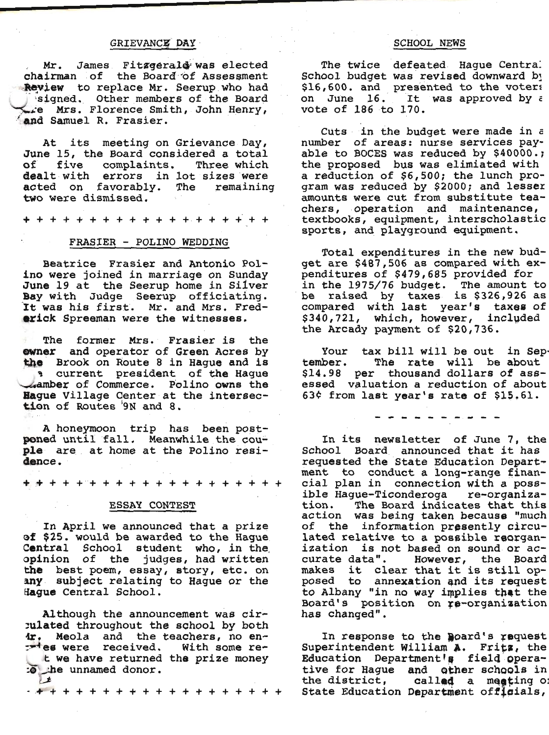# GRIEVANCE DAY

Mr. James Fitzgerald was elected chairman of the Board of Assessment Review to replace Mr. Seerup who had signed. Other members of the Board re Mrs. Florence Smith, John Henry, and Samuel R. Frasier.

At its meeting on Grievance Day, June 15, the Board considered a total of five complaints. Three which dealt with errors in lot sizes were acted on favorably. The remaining two were dismissed.

+ + + + + + + + + + + + + + + + + + +

## FRASIER - POLINO WEDDING

Beatrice Frasier and Antonio Polino were joined in marriage on Sunday June 19 at the Seerup home in Silver Bay with Judge Seerup officiating. It was his first. Mr. and Mrs. Frederick Spreeman were the witnesses.

The former Mrs. Frasier is the owner and operator of Green Acres by the Brook on Route 8 in Hague and is a current president of the Hague **A amber of Commerce.** Polino owns the Hague Village Center at the intersection of Routes '9N and 8.

A honeymoon trip has been postponed until fall. Meanwhile the couple are at home at the Polino residence.

+ + + + + + + + + + + + + + + + + + +

## ESSAY CONTEST

In April we announced that a prize of \$25. would be awarded to the Hague Central School student who, in the opinion of the judges, had written the best poem, essay, story, etc. on any subject relating to Hague or the Hague Central School.

Although the announcement was cirrulated throughout the school by both 4r, Meola and the teachers, no en-<br>
xies were received. With some ret we have returned the prize money to the unnamed donor.  $\pm$ 

#### **SCHOOL NEWS**

The twice defeated Hague Central School budget was revised downward by \$16,600. and presented to the voters<br>on June 16. It was approved by  $\epsilon$ vote of 186 to 170.

Cuts in the budget were made in a number of areas: nurse services payable to BOCES was reduced by \$40000.; the proposed bus was elimiated with a reduction of \$6,500; the lunch program was reduced by \$2000; and lesser amounts were cut from substitute teachers, operation and maintenance, textbooks, equipment, interscholastic sports, and playground equipment.

Total expenditures in the new budget are \$487,506 as compared with expenditures of \$479,685 provided for in the 1975/76 budget. The amount to<br>be raised by taxes is \$326,926 as compared with last year's taxes of \$340,721, which, however, included<br>the Arcady payment of \$20,736.

Your tax bill will be out in Sep-The rate will be about tember. \$14.98 per thousand dollars of assessed valuation a reduction of about 63¢ from last year's rate of \$15.61.

- - - - - - - - - -

In its newsletter of June 7, the School Board announced that it has<br>requested the State Education Department to conduct a long-range financial plan in connection with a possible Haque-Ticonderoga re-organiza-The Board indicates that this tion. action was being taken because "much of the information presently circulated relative to a possible reorganization is not based on sound or accurate data". However, the Board makes it clear that it is still opposed to annexation and its request to Albany "in no way implies that the Board's position on re-organization has changed".

In response to the Board's request Superintendent William A. Fritz, the Education Department's field operative for Hague and other schools in the district, called a meeting of State Education Department officials,